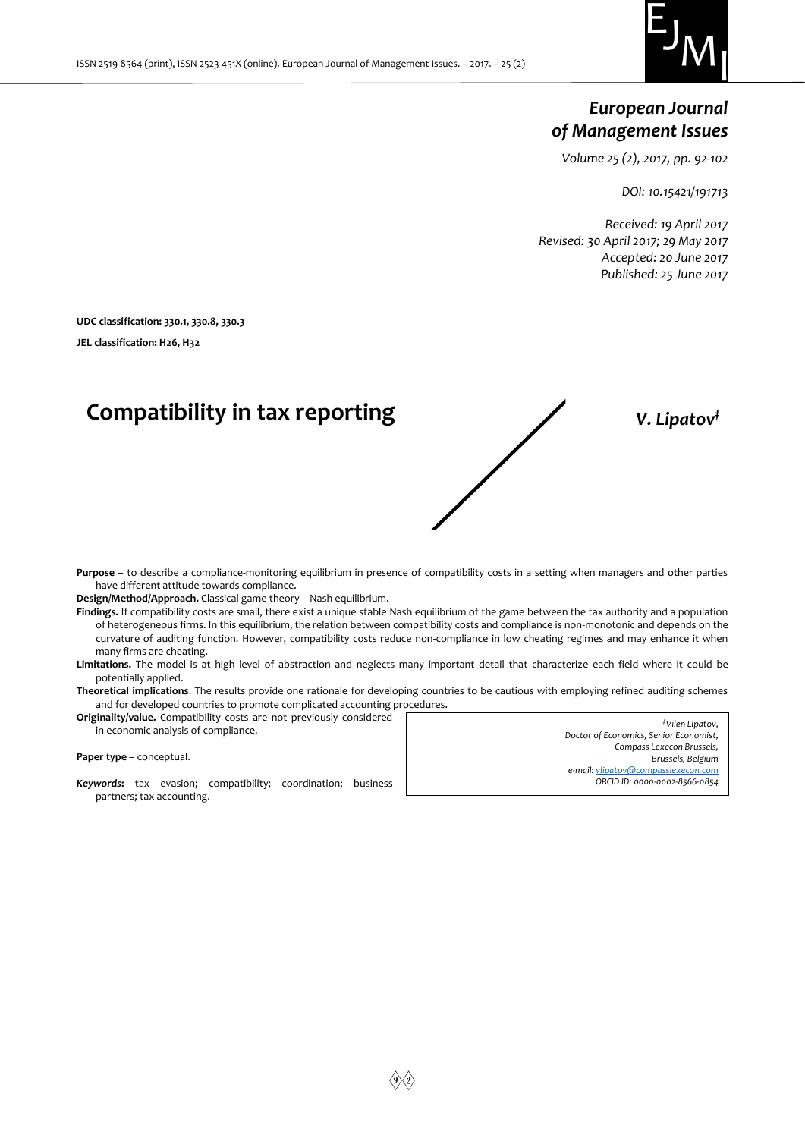

# *European Journal of Management Issues*

*Volume 25 (2), 2017, pp. 92-102*

*DOI: 10.15421/191713*

*Received: 19 April 2017 Revised: 30 April 2017; 29 May 2017 Accepted: 20 June 2017 Published: 25 June 2017*

**UDC classification: 330.1, 330.8, 330.3** 

**JEL classification: H26, H32**

# **Compatibility in tax reporting** *V. Lipatov‡*

**Purpose** – to describe a compliance-monitoring equilibrium in presence of compatibility costs in a setting when managers and other parties have different attitude towards compliance.

**Design/Method/Approach.** Classical game theory – Nash equilibrium.

**Findings.** If compatibility costs are small, there exist a unique stable Nash equilibrium of the game between the tax authority and a population of heterogeneous firms. In this equilibrium, the relation between compatibility costs and compliance is non-monotonic and depends on the curvature of auditing function. However, compatibility costs reduce non-compliance in low cheating regimes and may enhance it when many firms are cheating.

**Limitations.** The model is at high level of abstraction and neglects many important detail that characterize each field where it could be potentially applied.

**Theoretical implications**. The results provide one rationale for developing countries to be cautious with employing refined auditing schemes and for developed countries to promote complicated accounting procedures.

**Originality/value.** Compatibility costs are not previously considered in economic analysis of compliance.

**Paper type** – conceptual.

*Keywords***:** tax evasion; compatibility; coordination; business partners; tax accounting.

*‡ Vilen Lipatov, Doctor of Economics, Senior Economist, Compass Lexecon Brussels, Brussels, Belgium e-mail[: vlipatov@compasslexecon.com](mailto:vlipatov@compasslexecon.com) ORCID ID: 0000-0002-8566-0854*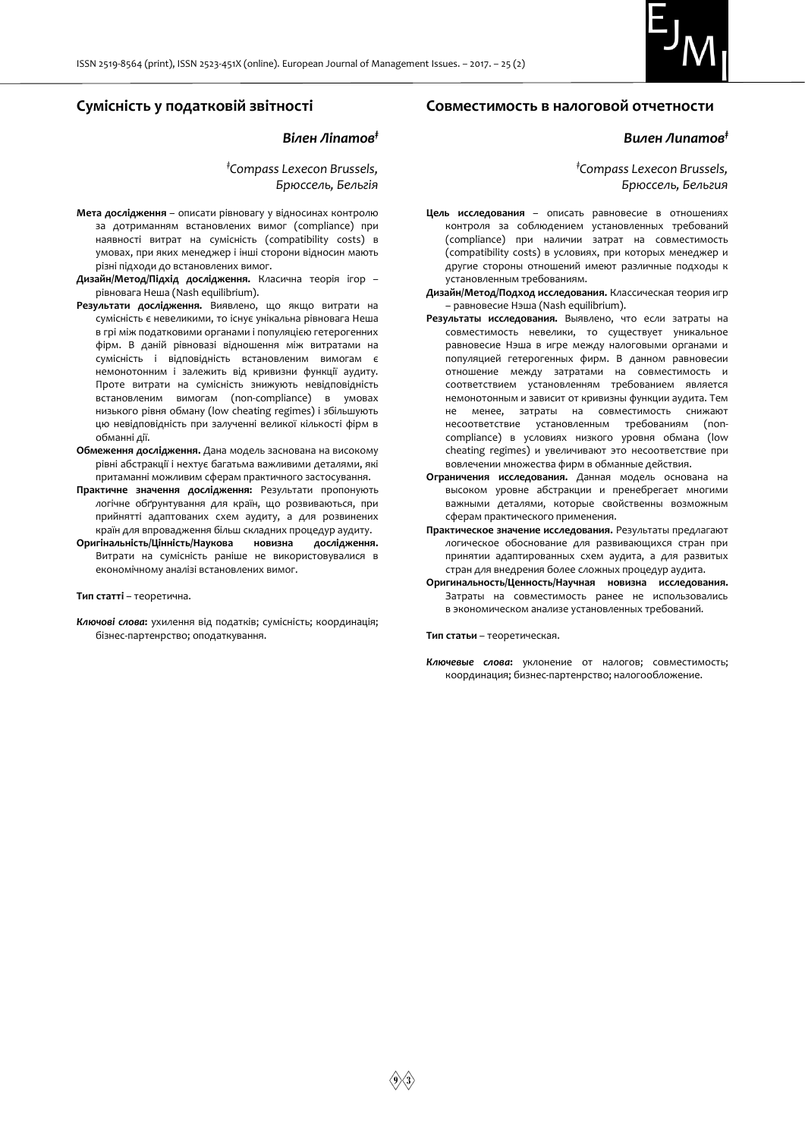

# **Сумісність у податковій звітності**

#### *Вілен Ліпатов‡*

*‡Compass Lexecon Brussels, Брюссель, Бельгія*

- **Мета дослідження** описати рівновагу у відносинах контролю за дотриманням встановлених вимог (compliance) при наявності витрат на сумісність (compatibility costs) в умовах, при яких менеджер і інші сторони відносин мають різні підходи до встановлених вимог.
- **Дизайн/Метод/Підхід дослідження.** Класична теорія ігор рівновага Неша (Nash equilibrium).
- **Результати дослідження.** Виявлено, що якщо витрати на сумісність є невеликими, то існує унікальна рівновага Неша в грі між податковими органами і популяцією гетерогенних фірм. В даній рівновазі відношення між витратами на сумісність і відповідність встановленим вимогам є немонотонним і залежить від кривизни функції аудиту. Проте витрати на сумісність знижують невідповідність встановленим вимогам (non-compliance) в умовах низького рівня обману (low cheating regimes) і збільшують цю невідповідність при залученні великої кількості фірм в обманні дії.
- **Обмеження дослідження.** Дана модель заснована на високому рівні абстракції і нехтує багатьма важливими деталями, які притаманні можливим сферам практичного застосування.
- **Практичне значення дослідження:** Результати пропонують логічне обґрунтування для країн, що розвиваються, при прийнятті адаптованих схем аудиту, а для розвинених країн для впровадження більш складних процедур аудиту.
- **Оригінальність/Цінність/Наукова новизна дослідження.**  Витрати на сумісність раніше не використовувалися в економічному аналізі встановлених вимог.

**Тип статті** – теоретична.

*Ключові слова***:** ухилення від податків; сумісність; координація; бізнес-партенрство; оподаткування.

# **Совместимость в налоговой отчетности**

# *Вилен Липатов‡*

*‡Compass Lexecon Brussels, Брюссель, Бельгия*

- **Цель исследования** описать равновесие в отношениях контроля за соблюдением установленных требований (compliance) при наличии затрат на совместимость (compatibility costs) в условиях, при которых менеджер и другие стороны отношений имеют различные подходы к установленным требованиям.
- **Дизайн/Метод/Подход исследования.** Классическая теория игр – равновесие Нэша (Nash equilibrium).
- **Результаты исследования.** Выявлено, что если затраты на совместимость невелики, то существует уникальное равновесие Нэша в игре между налоговыми органами и популяцией гетерогенных фирм. В данном равновесии отношение между затратами на совместимость и соответствием установленням требованием является немонотонным и зависит от кривизны функции аудита. Тем не менее, затраты на совместимость снижают несоответствие установленным требованиям (noncompliance) в условиях низкого уровня обмана (low cheating regimes) и увеличивают это несоответствие при вовлечении множества фирм в обманные действия.
- **Ограничения исследования.** Данная модель основана на высоком уровне абстракции и пренебрегает многими важными деталями, которые свойственны возможным сферам практического применения.
- **Практическое значение исследования.** Результаты предлагают логическое обоснование для развивающихся стран при принятии адаптированных схем аудита, а для развитых стран для внедрения более сложных процедур аудита.
- **Оригинальность/Ценность/Научная новизна исследования.** Затраты на совместимость ранее не использовались в экономическом анализе установленных требований.

**Тип статьи** – теоретическая.

*Ключевые слова***:** уклонение от налогов; совместимость; координация; бизнес-партенрство; налогообложение.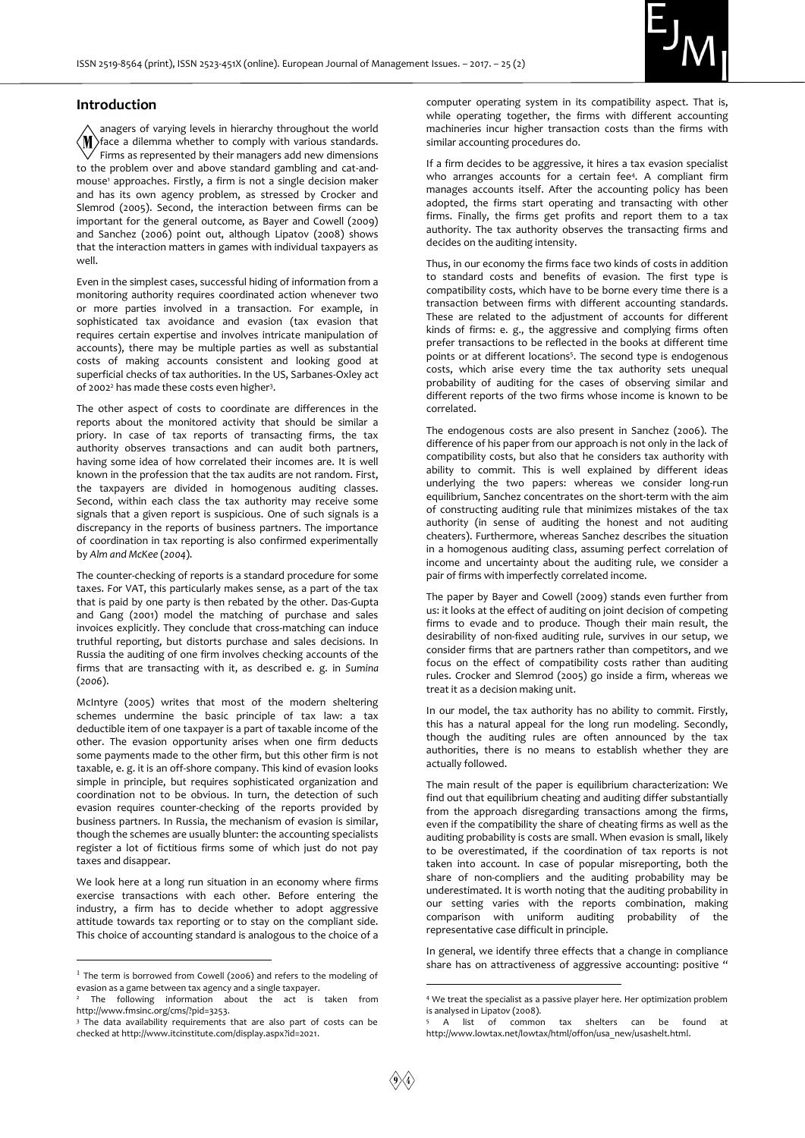

#### **Introduction**

anagers of varying levels in hierarchy throughout the world  $\langle M \rangle$ face a dilemma whether to comply with various standards. Firms as represented by their managers add new dimensions to the problem over and above standard gambling and cat-andmouse<sup>1</sup> approaches. Firstly, a firm is not a single decision maker and has its own agency problem, as stressed by Crocker and Slemrod (2005). Second, the interaction between firms can be important for the general outcome, as Bayer and Cowell (2009) and Sanchez (2006) point out, although Lipatov (2008) shows that the interaction matters in games with individual taxpayers as well.

Even in the simplest cases, successful hiding of information from a monitoring authority requires coordinated action whenever two or more parties involved in a transaction. For example, in sophisticated tax avoidance and evasion (tax evasion that requires certain expertise and involves intricate manipulation of accounts), there may be multiple parties as well as substantial costs of making accounts consistent and looking good at superficial checks of tax authorities. In the US, Sarbanes-Oxley act of 2002<sup>2</sup> has made these costs even higher<sup>3</sup>.

The other aspect of costs to coordinate are differences in the reports about the monitored activity that should be similar a priory. In case of tax reports of transacting firms, the tax authority observes transactions and can audit both partners, having some idea of how correlated their incomes are. It is well known in the profession that the tax audits are not random. First, the taxpayers are divided in homogenous auditing classes. Second, within each class the tax authority may receive some signals that a given report is suspicious. One of such signals is a discrepancy in the reports of business partners. The importance of coordination in tax reporting is also confirmed experimentally by *Alm and McKee* (*2004*).

The counter-checking of reports is a standard procedure for some taxes. For VAT, this particularly makes sense, as a part of the tax that is paid by one party is then rebated by the other. Das-Gupta and Gang (2001) model the matching of purchase and sales invoices explicitly. They conclude that cross-matching can induce truthful reporting, but distorts purchase and sales decisions. In Russia the auditing of one firm involves checking accounts of the firms that are transacting with it, as described e. g. in *Sumina*  (*2006*).

McIntyre (2005) writes that most of the modern sheltering schemes undermine the basic principle of tax law: a tax deductible item of one taxpayer is a part of taxable income of the other. The evasion opportunity arises when one firm deducts some payments made to the other firm, but this other firm is not taxable, e. g. it is an off-shore company. This kind of evasion looks simple in principle, but requires sophisticated organization and coordination not to be obvious. In turn, the detection of such evasion requires counter-checking of the reports provided by business partners. In Russia, the mechanism of evasion is similar, though the schemes are usually blunter: the accounting specialists register a lot of fictitious firms some of which just do not pay taxes and disappear.

We look here at a long run situation in an economy where firms exercise transactions with each other. Before entering the industry, a firm has to decide whether to adopt aggressive attitude towards tax reporting or to stay on the compliant side. This choice of accounting standard is analogous to the choice of a

 $\overline{a}$ 

computer operating system in its compatibility aspect. That is, while operating together, the firms with different accounting machineries incur higher transaction costs than the firms with similar accounting procedures do.

If a firm decides to be aggressive, it hires a tax evasion specialist who arranges accounts for a certain fee<sup>4</sup>. A compliant firm manages accounts itself. After the accounting policy has been adopted, the firms start operating and transacting with other firms. Finally, the firms get profits and report them to a tax authority. The tax authority observes the transacting firms and decides on the auditing intensity.

Thus, in our economy the firms face two kinds of costs in addition to standard costs and benefits of evasion. The first type is compatibility costs, which have to be borne every time there is a transaction between firms with different accounting standards. These are related to the adjustment of accounts for different kinds of firms: e. g., the aggressive and complying firms often prefer transactions to be reflected in the books at different time points or at different locations<sup>5</sup>. The second type is endogenous costs, which arise every time the tax authority sets unequal probability of auditing for the cases of observing similar and different reports of the two firms whose income is known to be correlated.

The endogenous costs are also present in Sanchez (2006). The difference of his paper from our approach is not only in the lack of compatibility costs, but also that he considers tax authority with ability to commit. This is well explained by different ideas underlying the two papers: whereas we consider long-run equilibrium, Sanchez concentrates on the short-term with the aim of constructing auditing rule that minimizes mistakes of the tax authority (in sense of auditing the honest and not auditing cheaters). Furthermore, whereas Sanchez describes the situation in a homogenous auditing class, assuming perfect correlation of income and uncertainty about the auditing rule, we consider a pair of firms with imperfectly correlated income.

The paper by Bayer and Cowell (2009) stands even further from us: it looks at the effect of auditing on joint decision of competing firms to evade and to produce. Though their main result, the desirability of non-fixed auditing rule, survives in our setup, we consider firms that are partners rather than competitors, and we focus on the effect of compatibility costs rather than auditing rules. Crocker and Slemrod (2005) go inside a firm, whereas we treat it as a decision making unit.

In our model, the tax authority has no ability to commit. Firstly, this has a natural appeal for the long run modeling. Secondly, though the auditing rules are often announced by the tax authorities, there is no means to establish whether they are actually followed.

The main result of the paper is equilibrium characterization: We find out that equilibrium cheating and auditing differ substantially from the approach disregarding transactions among the firms, even if the compatibility the share of cheating firms as well as the auditing probability is costs are small. When evasion is small, likely to be overestimated, if the coordination of tax reports is not taken into account. In case of popular misreporting, both the share of non-compliers and the auditing probability may be underestimated. It is worth noting that the auditing probability in our setting varies with the reports combination, making comparison with uniform auditing probability of the representative case difficult in principle.

In general, we identify three effects that a change in compliance share has on attractiveness of aggressive accounting: positive "

<u>.</u>

<sup>&</sup>lt;sup>1</sup> The term is borrowed from Cowell (2006) and refers to the modeling of evasion as a game between tax agency and a single taxpayer.

The following information about the act is taken from http://www.fmsinc.org/cms/?pid=3253.

<sup>3</sup> The data availability requirements that are also part of costs can be checked at http://www.itcinstitute.com/display.aspx?id=2021.

<sup>4</sup> We treat the specialist as a passive player here. Her optimization problem is analysed in Lipatov (2008).

A list of common tax shelters can be found at http://www.lowtax.net/lowtax/html/offon/usa\_new/usashelt.html.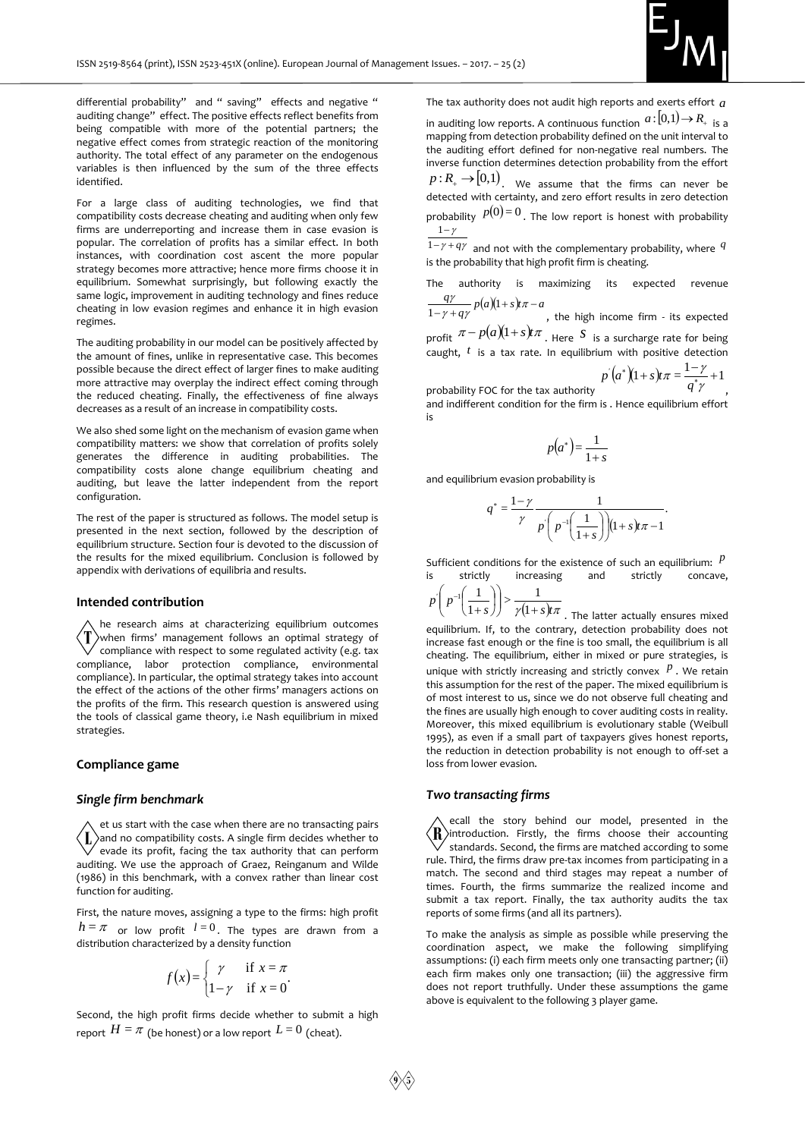

differential probability" and " saving" effects and negative " auditing change" effect. The positive effects reflect benefits from being compatible with more of the potential partners; the negative effect comes from strategic reaction of the monitoring authority. The total effect of any parameter on the endogenous variables is then influenced by the sum of the three effects identified.

For a large class of auditing technologies, we find that compatibility costs decrease cheating and auditing when only few firms are underreporting and increase them in case evasion is popular. The correlation of profits has a similar effect. In both instances, with coordination cost ascent the more popular strategy becomes more attractive; hence more firms choose it in equilibrium. Somewhat surprisingly, but following exactly the same logic, improvement in auditing technology and fines reduce cheating in low evasion regimes and enhance it in high evasion regimes.

The auditing probability in our model can be positively affected by the amount of fines, unlike in representative case. This becomes possible because the direct effect of larger fines to make auditing more attractive may overplay the indirect effect coming through the reduced cheating. Finally, the effectiveness of fine always decreases as a result of an increase in compatibility costs.

We also shed some light on the mechanism of evasion game when compatibility matters: we show that correlation of profits solely generates the difference in auditing probabilities. The compatibility costs alone change equilibrium cheating and auditing, but leave the latter independent from the report configuration.

The rest of the paper is structured as follows. The model setup is presented in the next section, followed by the description of equilibrium structure. Section four is devoted to the discussion of the results for the mixed equilibrium. Conclusion is followed by appendix with derivations of equilibria and results.

#### **Intended contribution**

he research aims at characterizing equilibrium outcomes when firms' management follows an optimal strategy of compliance with respect to some regulated activity (e.g. tax compliance, labor protection compliance, environmental compliance). In particular, the optimal strategy takes into account the effect of the actions of the other firms' managers actions on the profits of the firm. This research question is answered using the tools of classical game theory, i.e Nash equilibrium in mixed strategies.

### **Compliance game**

#### *Single firm benchmark*

et us start with the case when there are no transacting pairs  $\langle \mathbf{I} \rangle$  and no compatibility costs. A single firm decides whether to  $\vee$  evade its profit, facing the tax authority that can perform auditing. We use the approach of Graez, Reinganum and Wilde (1986) in this benchmark, with a convex rather than linear cost function for auditing.

First, the nature moves, assigning a type to the firms: high profit  $h = \pi$  or low profit  $l = 0$ . The types are drawn from a distribution characterized by a density function

$$
f(x) = \begin{cases} \gamma & \text{if } x = \pi \\ 1 - \gamma & \text{if } x = 0 \end{cases}
$$

Second, the high profit firms decide whether to submit a high report  $H = \pi$  (be honest) or a low report  $L$  =  $0$  (cheat).

The tax authority does not audit high reports and exerts effort *a*

in auditing low reports. A continuous function  $a:[0,1){\,\rightarrow\,} R_{\scriptscriptstyle +}$  is a mapping from detection probability defined on the unit interval to the auditing effort defined for non-negative real numbers. The inverse function determines detection probability from the effort  $p: R_{+} \rightarrow [0,1)$ . We assume that the firms can never be detected with certainty, and zero effort results in zero detection

probability  $p(0)=0$ . The low report is honest with probability  $1-\gamma$ 

 $1 - \gamma + q\gamma$  and not with the complementary probability, where  $q$ is the probability that high profit firm is cheating.

The authority is maximizing its expected revenue  $\frac{q\gamma}{-\gamma+q\gamma}p(a)(1+s)t\pi-$ 

 $\frac{a}{a\gamma} p(a)(1+s)t\pi - a$  $\frac{q\gamma}{1-\gamma+q\gamma}p(a)(1+s)t\pi-a$ , the high income firm - its expected profit  $\pi - p(a)(1+s)t\pi$  . Here S is a surcharge rate for being  $\pi$  –  $p(a)(1+s)t\pi$ caught, *t* is a tax rate. In equilibrium with positive detection

$$
p'(a^*) (1+s)t\pi = \frac{1-\gamma}{q^*\gamma} + 1
$$

probability FOC for the tax authority , and indifferent condition for the firm is . Hence equilibrium effort is

$$
p(a^*) = \frac{1}{1+s}
$$

and equilibrium evasion probability is

$$
q^* = \frac{1-\gamma}{\gamma} \frac{1}{p\left(p^{-1}\left(\frac{1}{1+s}\right)\right)(1+s)\pi - 1}.
$$

Sufficient conditions for the existence of such an equilibrium:  $P$ is strictly increasing and strictly concave,

$$
p'\left(p^{-1}\left(\frac{1}{1+s}\right)\right) > \frac{1}{\gamma(1+s)t\pi}
$$

 $\left(\frac{1}{1+s}\right)$  >  $\frac{1}{\gamma(1+s)t\pi}$ . The latter actually ensures mixed equilibrium. If, to the contrary, detection probability does not increase fast enough or the fine is too small, the equilibrium is all cheating. The equilibrium, either in mixed or pure strategies, is unique with strictly increasing and strictly convex  $P$ . We retain this assumption for the rest of the paper. The mixed equilibrium is of most interest to us, since we do not observe full cheating and the fines are usually high enough to cover auditing costs in reality. Moreover, this mixed equilibrium is evolutionary stable (Weibull 1995), as even if a small part of taxpayers gives honest reports, the reduction in detection probability is not enough to off-set a loss from lower evasion.

### *Two transacting firms*

ecall the story behind our model, presented in the  $\langle \mathbf{R} \rangle$ introduction. Firstly, the firms choose their accounting  $\sqrt{\ }$  standards. Second, the firms are matched according to some rule. Third, the firms draw pre-tax incomes from participating in a match. The second and third stages may repeat a number of times. Fourth, the firms summarize the realized income and submit a tax report. Finally, the tax authority audits the tax reports of some firms (and all its partners).

To make the analysis as simple as possible while preserving the coordination aspect, we make the following simplifying assumptions: (i) each firm meets only one transacting partner; (ii) each firm makes only one transaction; (iii) the aggressive firm does not report truthfully. Under these assumptions the game above is equivalent to the following 3 player game.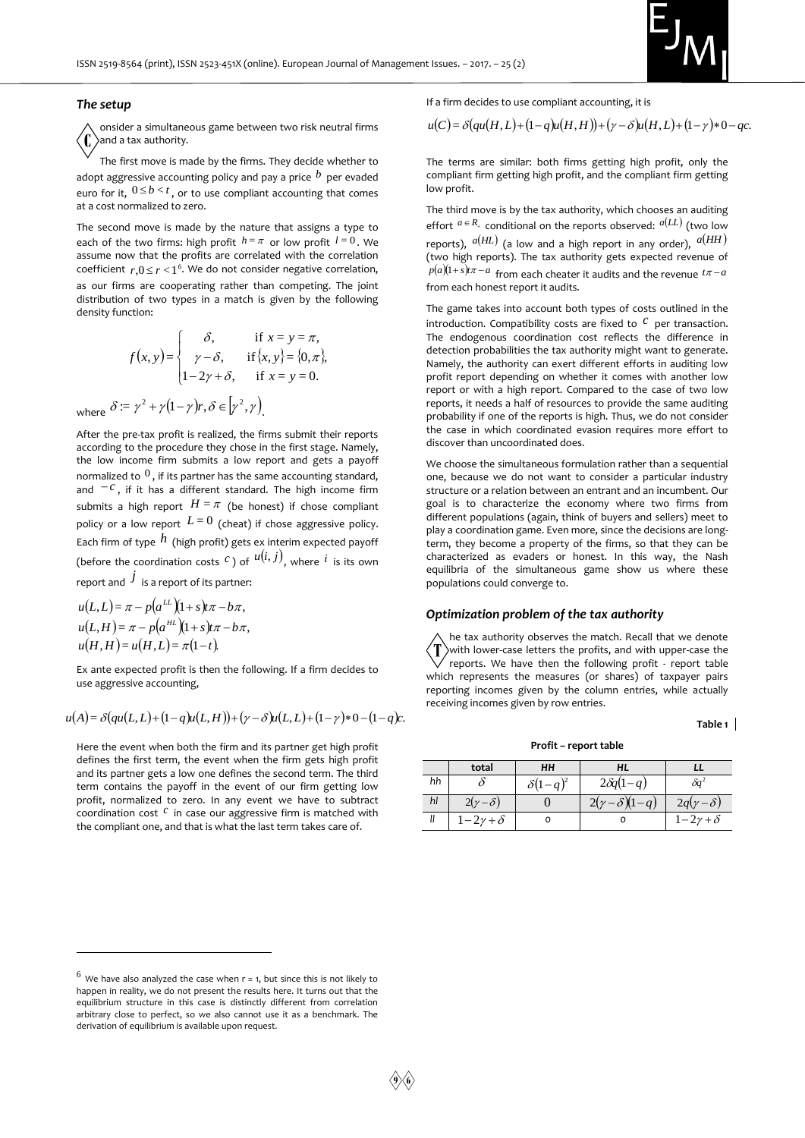

#### *The setup*

onsider a simultaneous game between two risk neutral firms and a tax authority.

The first move is made by the firms. They decide whether to adopt aggressive accounting policy and pay a price *b* per evaded euro for it,  $0 \leq b < t$ , or to use compliant accounting that comes at a cost normalized to zero.

The second move is made by the nature that assigns a type to each of the two firms: high profit  $h = \pi$  or low profit  $l = 0$ . We assume now that the profits are correlated with the correlation coefficient  $r, 0 \le r < 1^6$ . We do not consider negative correlation, as our firms are cooperating rather than competing. The joint distribution of two types in a match is given by the following density function:

$$
f(x, y) = \begin{cases} \delta, & \text{if } x = y = \pi, \\ \gamma - \delta, & \text{if } \{x, y\} = \{0, \pi\}, \\ 1 - 2\gamma + \delta, & \text{if } x = y = 0. \end{cases}
$$

where  $\delta = \gamma^2 + \gamma(1-\gamma)r, \delta \in [\gamma^2, \gamma]$ .

After the pre-tax profit is realized, the firms submit their reports according to the procedure they chose in the first stage. Namely, the low income firm submits a low report and gets a payoff normalized to  $^0$ , if its partner has the same accounting standard, and  $-c$ , if it has a different standard. The high income firm submits a high report  $H = \pi$  (be honest) if chose compliant policy or a low report  $\,L\!=\!0\,$  (cheat) if chose aggressive policy. Each firm of type  $\,h\,$  (high profit) gets ex interim expected payoff (before the coordination costs  $c$  ) of  $u(i, j)$ , where  $i$  is its own report and  $\,\dot J\,$  is a report of its partner:

$$
u(L,L) = \pi - p(a^{LL})(1+s)\pi - b\pi,
$$
  
\n
$$
u(L,H) = \pi - p(a^{HL})(1+s)\pi - b\pi,
$$
  
\n
$$
u(H,H) = u(H,L) = \pi(1-t).
$$

 $\overline{a}$ 

Ex ante expected profit is then the following. If a firm decides to use aggressive accounting,

$$
u(A) = \delta\bigl( qu(L, L) + (1 - q)u(L, H)\bigr) + (\gamma - \delta)u(L, L) + (1 - \gamma) * 0 - (1 - q)c.
$$

Here the event when both the firm and its partner get high profit defines the first term, the event when the firm gets high profit and its partner gets a low one defines the second term. The third term contains the payoff in the event of our firm getting low profit, normalized to zero. In any event we have to subtract coordination cost <sup>c</sup> in case our aggressive firm is matched with the compliant one, and that is what the last term takes care of.

If a firm decides to use compliant accounting, it is

$$
u(C) = \delta\bigl( qu(H, L) + (1 - q)u(H, H)\bigr) + (\gamma - \delta)u(H, L) + (1 - \gamma)*0 - qc.
$$

The terms are similar: both firms getting high profit, only the compliant firm getting high profit, and the compliant firm getting low profit.

The third move is by the tax authority, which chooses an auditing effort  $a \in R_+$  conditional on the reports observed:  $a(LL)$  (two low reports),  $a(HL)$  (a low and a high report in any order),  $a(HH)$ (two high reports). The tax authority gets expected revenue of  $p(a)(1+s)\pi - a$  from each cheater it audits and the revenue  $t\pi - a$ from each honest report it audits.

The game takes into account both types of costs outlined in the introduction. Compatibility costs are fixed to  $\overline{c}$  per transaction. The endogenous coordination cost reflects the difference in detection probabilities the tax authority might want to generate. Namely, the authority can exert different efforts in auditing low profit report depending on whether it comes with another low report or with a high report. Compared to the case of two low reports, it needs a half of resources to provide the same auditing probability if one of the reports is high. Thus, we do not consider the case in which coordinated evasion requires more effort to discover than uncoordinated does.

We choose the simultaneous formulation rather than a sequential one, because we do not want to consider a particular industry structure or a relation between an entrant and an incumbent. Our goal is to characterize the economy where two firms from different populations (again, think of buyers and sellers) meet to play a coordination game. Even more, since the decisions are longterm, they become a property of the firms, so that they can be characterized as evaders or honest. In this way, the Nash equilibria of the simultaneous game show us where these populations could converge to.

#### *Optimization problem of the tax authority*

he tax authority observes the match. Recall that we denote T) with lower-case letters the profits, and with upper-case the reports. We have then the following profit - report table which represents the measures (or shares) of taxpayer pairs reporting incomes given by the column entries, while actually receiving incomes given by row entries.

**Table 1** 

**Profit – report table**

|    | total              | HН              | HL                           |                     |
|----|--------------------|-----------------|------------------------------|---------------------|
| hh |                    | $\delta(1-q)^2$ | $2\delta q(1-q)$             | дq                  |
| hl | $2(\gamma-\delta)$ |                 | $2(\gamma-\delta)$<br>$-q$ ) | $2q(\gamma-\delta)$ |
|    | $-2\gamma+\delta$  |                 |                              | $-2\gamma+\delta$   |

 $^6$  We have also analyzed the case when  $r = 1$ , but since this is not likely to happen in reality, we do not present the results here. It turns out that the equilibrium structure in this case is distinctly different from correlation arbitrary close to perfect, so we also cannot use it as a benchmark. The derivation of equilibrium is available upon request.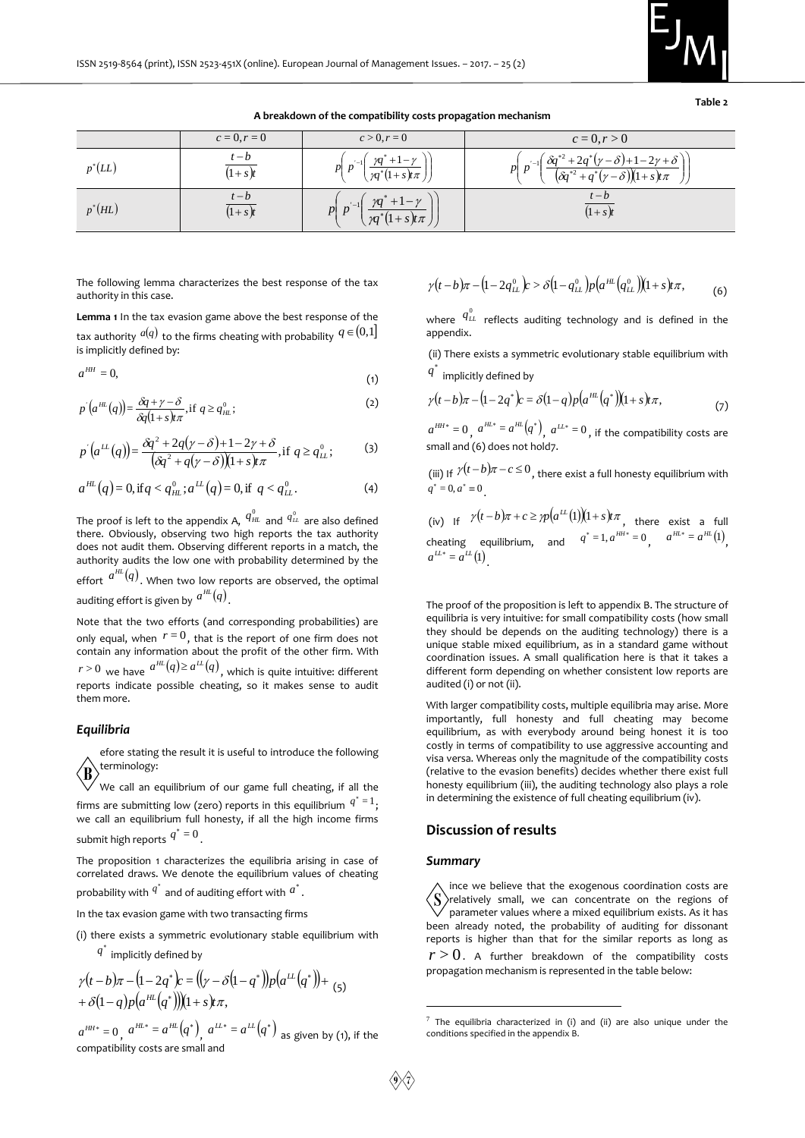

**Table 2** 

**A breakdown of the compatibility costs propagation mechanism**

 $c = 0, r = 0$   $c > 0, r = 0$   $c = 0, r > 0$  $p^*(LL)$  $(1 + s)t$  $t - b$  $\frac{t-b}{(1+s)t}$   $p\left(p^{-1}\left(\frac{\gamma q^*+1-\gamma}{\gamma q^*(1+s)t\pi}\right)\right]$  $\overline{\phantom{a}}$  $\overline{\phantom{a}}$ J  $\lambda$ L Ł L ſ  $\overline{\phantom{a}}$  $\mathbf{I}$ Ј,  $\lambda$  $\mathsf{I}$  $\mathsf{I}$ L ſ  $\gamma q^*$ +1- $\gamma$ \*  $\frac{1}{2}$ *p p*  $\left( \begin{array}{c} \gamma q^* + 1 - \gamma \\ 1 \end{array} \right)$   $\left( \begin{array}{c} \gamma_{-1} \left( \delta q^{*2} + 2 q^* (\gamma - \delta) + 1 - 2 \gamma + \delta \end{array} \right)$  $\frac{q^{*2}+2q^*(\gamma-\delta)+1-2\gamma+\sqrt{q^*q^*(\gamma-\delta)(1+s)p\pi}}{q^*q^*(\gamma-\delta)(1+s)p\pi}$  $\overline{\phantom{a}}$  $\overline{\phantom{a}}$ J  $\lambda$ L Ł L ſ  $\vert$  $\mathbf{I}$ Ј  $\lambda$  $\mathsf{L}$ L L ſ Ξ *p p* 2 1  $p^*(HL)$  $(1+s)t$ *t b*  $(1+s)t$  $\vert$  $\vert$ J  $\setminus$ L L  $\backslash$ ſ  $\vert$ J J  $\lambda$ L L  $\overline{\phantom{a}}$ ſ  $^{+}$  $+1-$ × \*  $\overline{a}$  $\gamma q$  (1+s)t $\pi$  $\gamma q$  +1- $\gamma$  $\frac{\gamma q^* + 1 - 1}{q^*(1+s)t}$ *p p*  $\left|1\right\rangle$  $\eta_1$   $\gamma q^* + 1$  $(1 + s)t$ *t b*

The following lemma characterizes the best response of the tax authority in this case.

**Lemma 1** In the tax evasion game above the best response of the tax authority  ${}^{\mathscr{a}(q)}$  to the firms cheating with probability  $q\in(0,1]$ is implicitly defined by:

$$
a^{HH} = 0,\t\t(1)
$$

$$
p'(a^{HL}(q)) = \frac{\delta q + \gamma - \delta}{\delta q(1 + s)\pi}, \text{if } q \ge q_{HL}^0;
$$
 (2)

$$
p'(a^{LL}(q)) = \frac{\delta q^2 + 2q(\gamma - \delta) + 1 - 2\gamma + \delta}{(\delta q^2 + q(\gamma - \delta))(1 + s)\pi}, \text{if } q \ge q_{LL}^0;
$$
 (3)

$$
a^{HL}(q) = 0, \text{ if } q < q^0_{HL}; a^{LL}(q) = 0, \text{ if } q < q^0_{LL}.\tag{4}
$$

The proof is left to the appendix A,  $\stackrel{0}{H}^0$  and  $\stackrel{0}{q}^0_{LL}$  are also defined there. Obviously, observing two high reports the tax authority does not audit them. Observing different reports in a match, the authority audits the low one with probability determined by the effort  $a^{HL}(q)$ . When two low reports are observed, the optimal auditing effort is given by  $\left. \right. ^{a^{HL}}(q)$  .

Note that the two efforts (and corresponding probabilities) are only equal, when  $r=0$ , that is the report of one firm does not contain any information about the profit of the other firm. With  $r$  > 0  $\,$  we have  $\,$   $a^{HL}(q)$   $\ge$   $a^{LL}(q)$   $\,$  , which is quite intuitive: different reports indicate possible cheating, so it makes sense to audit them more. The interesting function of the the costs are not one in the small and the small and the small and the small and the small and the small and the small and the small and the small and the small and the small and the small

#### *Equilibria*

efore stating the result it is useful to introduce the following terminology:

We call an equilibrium of our game full cheating, if all the firms are submitting low (zero) reports in this equilibrium  $q^* = 1$ ; we call an equilibrium full honesty, if all the high income firms submit high reports  $q^* = 0$  .

The proposition 1 characterizes the equilibria arising in case of correlated draws. We denote the equilibrium values of cheating probability with  $q^*$  and of auditing effort with  $a^*$  .

In the tax evasion game with two transacting firms

(i) there exists a symmetric evolutionary stable equilibrium with

 $q^\ast$  implicitly defined by

$$
\gamma(t - b)\pi - (1 - 2q^*)c = ((\gamma - \delta(1 - q^*))p(a^{LL}(q^*)) +
$$
  
+  $\delta(1 - q)p(a^{HL}(q^*)))(1 + s)r\pi$ ,  

$$
a^{HH^*} = 0, a^{HL^*} = a^{HL}(q^*), a^{LL^*} = a^{LL}(q^*)
$$
as given by (1), if t

as given by (1), if the

$$
\gamma(t-b)\pi - (1 - 2q_{LL}^0)c > \delta(1 - q_{LL}^0)p(a^{HL}(q_{LL}^0))(1 + s)t\pi,
$$
 (6)

where  $\stackrel{0}{\mu}$  reflects auditing technology and is defined in the appendix.

(ii) There exists a symmetric evolutionary stable equilibrium with  $q^*$  implicitly defined by

$$
\gamma(t-b)\pi - (1-2q^*)c = \delta(1-q)p(a^{HL}(q^*))(1+s)t\pi,
$$
\n(7)

 $a^{HH*} = 0$ ,  $a^{HL*} = a^{HL}(q^*)$ ,  $a^{LL*} = 0$ , if the compatibility costs are small and (6) does not hold7.

(iii) If  $\gamma(t-b)\pi-c \le 0$ , there exist a full honesty equilibrium with  $q^* = 0, a^* \equiv 0$ .

(iv) If 
$$
\gamma(t-b)\pi + c \ge \gamma p(a^L(t))(1+s)t\pi
$$
, there exist a full  
cheating equilibrium, and  $q^* = 1$ ,  $a^{Ht*} = 0$ ,  $a^{Ht*} = a^{Ht}(1)$ ,  
 $a^{Lt*} = a^{Lt}(1)$ .

The proof of the proposition is left to appendix B. The structure of equilibria is very intuitive: for small compatibility costs (how small they should be depends on the auditing technology) there is a unique stable mixed equilibrium, as in a standard game without coordination issues. A small qualification here is that it takes a different form depending on whether consistent low reports are audited (i) or not (ii).

With larger compatibility costs, multiple equilibria may arise. More importantly, full honesty and full cheating may become equilibrium, as with everybody around being honest it is too costly in terms of compatibility to use aggressive accounting and visa versa. Whereas only the magnitude of the compatibility costs (relative to the evasion benefits) decides whether there exist full honesty equilibrium (iii), the auditing technology also plays a role in determining the existence of full cheating equilibrium (iv).

# **Discussion of results**

#### *Summary*

ince we believe that the exogenous coordination costs are  $\langle S \rangle$ relatively small, we can concentrate on the regions of parameter values where a mixed equilibrium exists. As it has been already noted, the probability of auditing for dissonant reports is higher than that for the similar reports as long as  $r\!>\!0.$  A further breakdown of the compatibility costs propagation mechanism is represented in the table below:

1

 $7$  The equilibria characterized in (i) and (ii) are also unique under the conditions specified in the appendix B.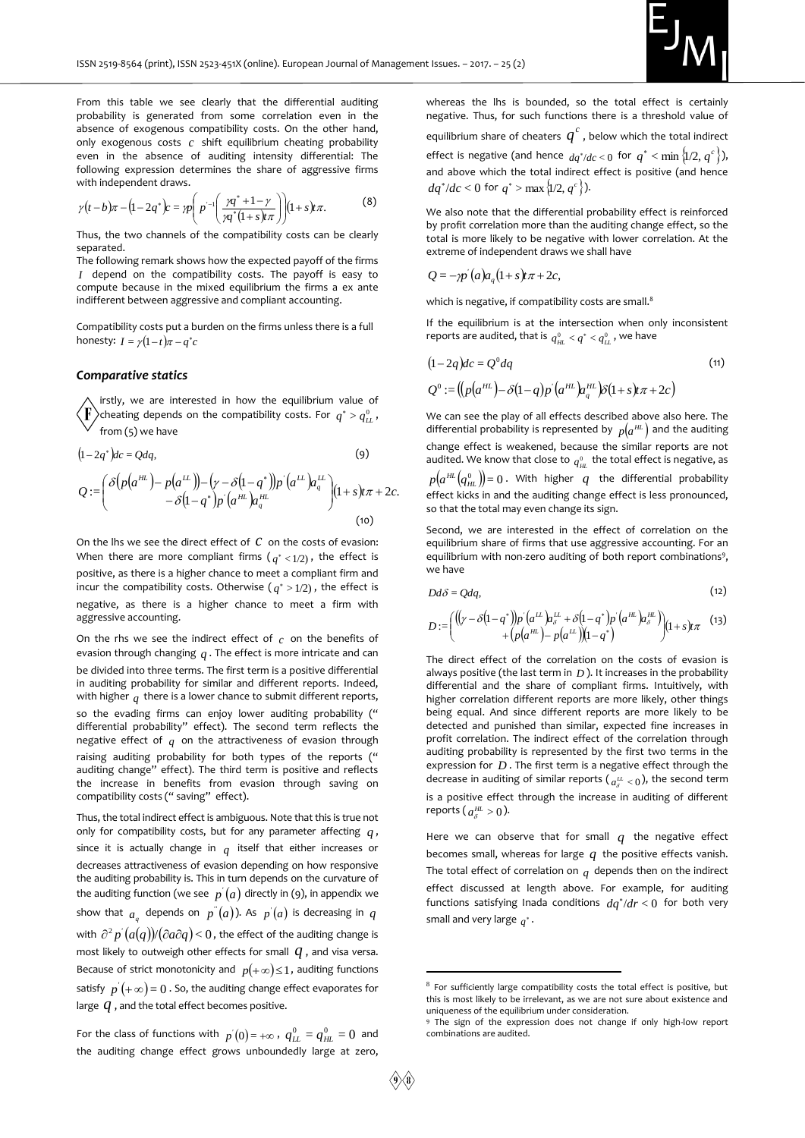

From this table we see clearly that the differential auditing probability is generated from some correlation even in the absence of exogenous compatibility costs. On the other hand, only exogenous costs  $c$  shift equilibrium cheating probability even in the absence of auditing intensity differential: The following expression determines the share of aggressive firms with independent draws.

$$
\gamma(t-b)\pi - (1-2q^*)c = \eta \left( p^{-1} \left( \frac{\eta q^* + 1 - \gamma}{\eta q^*(1+s)t\pi} \right) \right) (1+s)t\pi. \tag{8}
$$

Thus, the two channels of the compatibility costs can be clearly separated.

The following remark shows how the expected payoff of the firms *I* depend on the compatibility costs. The payoff is easy to compute because in the mixed equilibrium the firms a ex ante indifferent between aggressive and compliant accounting.

Compatibility costs put a burden on the firms unless there is a full honesty:  $I = \gamma(1-t)\pi - q^*c$ 

# *Comparative statics*

L

aggressive accounting.

irstly, we are interested in how the equilibrium value of cheating depends on the compatibility costs. For  $q^* > q^0_{LL}$ , from (5) we have

$$
(1-2q^*)dc = Qdq,
$$
\n
$$
Q := \begin{pmatrix} \delta(p(a^{HL}) - p(a^{LL})) - (y - \delta(1-q^*))p'(a^{LL})a_q^L \\ -\delta(1-q^*)p'(a^{HL})a_q^H \end{pmatrix} (1+s)t\pi + 2c.
$$
\n(9)

J

 (10) On the lhs we see the direct effect of  $\mathcal C$  on the costs of evasion: When there are more compliant firms  $(q^*<1/2)$ , the effect is positive, as there is a higher chance to meet a compliant firm and incur the compatibility costs. Otherwise  $(q^* > 1/2)$ , the effect is negative, as there is a higher chance to meet a firm with

On the rhs we see the indirect effect of  $c$  on the benefits of evasion through changing  $q$ . The effect is more intricate and can be divided into three terms. The first term is a positive differential in auditing probability for similar and different reports. Indeed, with higher  $q$  there is a lower chance to submit different reports, so the evading firms can enjoy lower auditing probability (" differential probability" effect). The second term reflects the negative effect of  $_q$  on the attractiveness of evasion through raising auditing probability for both types of the reports (" auditing change" effect). The third term is positive and reflects the increase in benefits from evasion through saving on compatibility costs (" saving" effect).

Thus, the total indirect effect is ambiguous. Note that this is true not only for compatibility costs, but for any parameter affecting *q* , since it is actually change in  $q$  itself that either increases or decreases attractiveness of evasion depending on how responsive the auditing probability is. This in turn depends on the curvature of the auditing function (we see  $p'(a)$  directly in (9), in appendix we show that  $a_q$  depends on  $p''(a)$ ). As  $p'(a)$  is decreasing in  $q$ with  $\partial^2 p'(a(q))/(\partial a \partial q)$  < 0, the effect of the auditing change is most likely to outweigh other effects for small  $\,q$  , and visa versa. Because of strict monotonicity and  $p(+\infty) \leq 1$ , auditing functions satisfy  $p^{'}(+\infty)$  =  $0$  . So, the auditing change effect evaporates for large  $q$  , and the total effect becomes positive.

For the class of functions with  $p'(0) = +\infty$ ,  $q_{LL}^0 = q_{HL}^0 = 0$  and the auditing change effect grows unboundedly large at zero,

whereas the lhs is bounded, so the total effect is certainly negative. Thus, for such functions there is a threshold value of equilibrium share of cheaters  $\overline{q}^c$  , below which the total indirect effect is negative (and hence  $dq^*/dc < 0$  for  $q^* < \min\left\{1/2, q^c\right\}$ ), and above which the total indirect effect is positive (and hence  $dq^*/dc < 0$  for  $q^* > \max\{1/2, q^c\}$ ).

We also note that the differential probability effect is reinforced by profit correlation more than the auditing change effect, so the total is more likely to be negative with lower correlation. At the extreme of independent draws we shall have

$$
Q = -\gamma p'(a)a_q(1+s)t\pi + 2c,
$$

which is negative, if compatibility costs are small.<sup>8</sup>

If the equilibrium is at the intersection when only inconsistent reports are audited, that is  $\,q^0_{_H L} < q^* < \,q^0_{_L L}$  , we have

$$
(1-2q)dc = Q0 dq
$$
  
\n
$$
Q0 := ((p(aHL)-\delta(1-q)p'(aHL)aqHL)\delta(1+s)t\pi + 2c)
$$
\n(11)

We can see the play of all effects described above also here. The differential probability is represented by  $p(a^{HL})$  and the auditing change effect is weakened, because the similar reports are not audited. We know that close to  $q_{\scriptscriptstyle HL}^{\scriptscriptstyle 0}$  the total effect is negative, as  $p\big(a^{H\!L}\big(q^0_{H\!L}\big)\!\big)$ =  $0$  . With higher  $\,q\,$  the differential probability effect kicks in and the auditing change effect is less pronounced, so that the total may even change its sign.

Second, we are interested in the effect of correlation on the equilibrium share of firms that use aggressive accounting. For an equilibrium with non-zero auditing of both report combinations<sup>9</sup>, we have

$$
Dd\delta = Qdq,\tag{12}
$$

$$
D := \left( \begin{array}{cc} ((y - \delta(1 - q^*))p' (a^{\mu \nu}) a^{\mu \nu} + \delta(1 - q^*)p' (a^{\mu \nu}) a^{\mu \nu} \\ + (p(a^{\mu \nu}) - p(a^{\mu \nu})) (1 - q^*) \end{array} \right) (1 + s) t \pi \quad (13)
$$

The direct effect of the correlation on the costs of evasion is always positive (the last term in  $D$ ). It increases in the probability differential and the share of compliant firms. Intuitively, with higher correlation different reports are more likely, other things being equal. And since different reports are more likely to be detected and punished than similar, expected fine increases in profit correlation. The indirect effect of the correlation through auditing probability is represented by the first two terms in the expression for  $D$ . The first term is a negative effect through the decrease in auditing of similar reports ( $a^{\mu}_{\delta} < 0$ ), the second term is a positive effect through the increase in auditing of different reports (  $a_{\delta}^{H\!L}>0$  ).

Here we can observe that for small  $q$  the negative effect becomes small, whereas for large  $q$  the positive effects vanish. The total effect of correlation on  $_q$  depends then on the indirect effect discussed at length above. For example, for auditing functions satisfying Inada conditions  $dq^* / dr < 0$  for both very small and very large  $q^*$ .

<u>.</u>

<sup>8</sup> For sufficiently large compatibility costs the total effect is positive, but this is most likely to be irrelevant, as we are not sure about existence and uniqueness of the equilibrium under consideration.

<sup>9</sup> The sign of the expression does not change if only high-low report combinations are audited.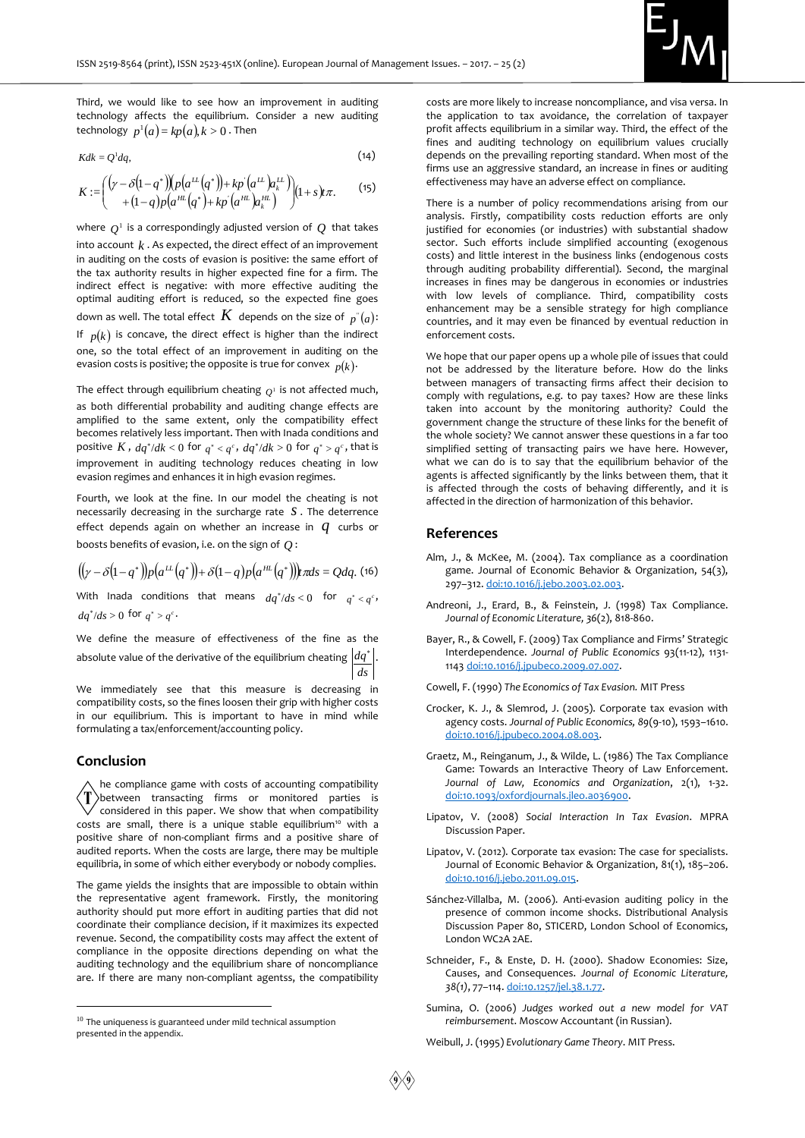

Third, we would like to see how an improvement in auditing technology affects the equilibrium. Consider a new auditing  $\mathsf{technology}\ \ p^1(a) = k p(a), k > 0\ \mathsf{.}$  Then

$$
Kdk = Q^1 dq, \tag{14}
$$

$$
K := \left( \begin{array}{cc} (\gamma - \delta(1-q^*)) \left( p \left( a^{\mu \nu} \left( q^* \right) \right) + k p \left( a^{\mu \nu} \right) a^{\mu \nu} \right) \\ + (1-q) p \left( a^{\mu \nu} \left( q^* \right) + k p \left( a^{\mu \nu} \right) a^{\mu \nu} \right) \end{array} \right) (1+s)t\pi. \tag{15}
$$

where  $Q^1$  is a correspondingly adjusted version of  $Q$  that takes into account  $k$  . As expected, the direct effect of an improvement in auditing on the costs of evasion is positive: the same effort of the tax authority results in higher expected fine for a firm. The indirect effect is negative: with more effective auditing the optimal auditing effort is reduced, so the expected fine goes down as well. The total effect  $\emph{\textbf{K}}$  depends on the size of  $\emph{\textbf{p}}^{_v}(a)$ : If  $p(k)$  is concave, the direct effect is higher than the indirect one, so the total effect of an improvement in auditing on the evasion costs is positive; the opposite is true for convex  $p(k)$ .

The effect through equilibrium cheating  $\varrho^{\scriptscriptstyle 1}$  is not affected much, as both differential probability and auditing change effects are amplified to the same extent, only the compatibility effect becomes relatively less important. Then with Inada conditions and positive K,  $dq^* / dk < 0$  for  $q^* < q^c$ ,  $dq^* / dk > 0$  for  $q^* > q^c$ , that is improvement in auditing technology reduces cheating in low evasion regimes and enhances it in high evasion regimes.

Fourth, we look at the fine. In our model the cheating is not necessarily decreasing in the surcharge rate *s* . The deterrence effect depends again on whether an increase in *q* curbs or boosts benefits of evasion, i.e. on the sign of *Q* :

$$
((\gamma - \delta(1-q^*))p(a^{\mathcal{L}}(q^*)) + \delta(1-q)p(a^{\mathcal{H}}(q^*))\mathbf{r} \pi ds = Qdq. (16)
$$

With Inada conditions that means  $dq^*/ds < 0$  for  $q^* < q^c$ ,  $dq^*/ds > 0$  for  $q^* > q^c$ .

We define the measure of effectiveness of the fine as the absolute value of the derivative of the equilibrium cheating  $\left|dq^*\right|$ . *ds*

We immediately see that this measure is decreasing in compatibility costs, so the fines loosen their grip with higher costs in our equilibrium. This is important to have in mind while formulating a tax/enforcement/accounting policy.

# **Conclusion**

-

he compliance game with costs of accounting compatibility T between transacting firms or monitored parties is considered in this paper. We show that when compatibility costs are small, there is a unique stable equilibrium<sup>10</sup> with a positive share of non-compliant firms and a positive share of audited reports. When the costs are large, there may be multiple equilibria, in some of which either everybody or nobody complies.

The game yields the insights that are impossible to obtain within the representative agent framework. Firstly, the monitoring authority should put more effort in auditing parties that did not coordinate their compliance decision, if it maximizes its expected revenue. Second, the compatibility costs may affect the extent of compliance in the opposite directions depending on what the auditing technology and the equilibrium share of noncompliance are. If there are many non-compliant agentss, the compatibility

costs are more likely to increase noncompliance, and visa versa. In the application to tax avoidance, the correlation of taxpayer profit affects equilibrium in a similar way. Third, the effect of the fines and auditing technology on equilibrium values crucially depends on the prevailing reporting standard. When most of the firms use an aggressive standard, an increase in fines or auditing effectiveness may have an adverse effect on compliance.

There is a number of policy recommendations arising from our analysis. Firstly, compatibility costs reduction efforts are only justified for economies (or industries) with substantial shadow sector. Such efforts include simplified accounting (exogenous costs) and little interest in the business links (endogenous costs through auditing probability differential). Second, the marginal increases in fines may be dangerous in economies or industries with low levels of compliance. Third, compatibility costs enhancement may be a sensible strategy for high compliance countries, and it may even be financed by eventual reduction in enforcement costs.

We hope that our paper opens up a whole pile of issues that could not be addressed by the literature before. How do the links between managers of transacting firms affect their decision to comply with regulations, e.g. to pay taxes? How are these links taken into account by the monitoring authority? Could the government change the structure of these links for the benefit of the whole society? We cannot answer these questions in a far too simplified setting of transacting pairs we have here. However, what we can do is to say that the equilibrium behavior of the agents is affected significantly by the links between them, that it is affected through the costs of behaving differently, and it is affected in the direction of harmonization of this behavior.

#### **References**

- Alm, J., & McKee, M. (2004). Tax compliance as a coordination game. Journal of Economic Behavior & Organization, 54(3), 297–312[. doi:10.1016/j.jebo.2003.02.003.](https://doi.org/10.1016/j.jebo.2003.02.003)
- Andreoni, J., Erard, B., & Feinstein, J. (1998) Tax Compliance. *Journal of Economic Literature, 36*(2), 818-860.
- Bayer, R., & Cowell, F. (2009) Tax Compliance and Firms' Strategic Interdependence. *Journal of Public Economics* 93(11-12), 1131- 114[3 doi:10.1016/j.jpubeco.2009.07.007.](https://doi.org/10.1016/j.jpubeco.2009.07.007)

Cowell, F. (1990) *The Economics of Tax Evasion.* MIT Press

- Crocker, K. J., & Slemrod, J. (2005). Corporate tax evasion with agency costs. *Journal of Public Economics, 89*(9-10), 1593–1610. [doi:10.1016/j.jpubeco.2004.08.003.](https://doi.org/10.1016/j.jpubeco.2004.08.003)
- Graetz, M., Reinganum, J., & Wilde, L. (1986) The Tax Compliance Game: Towards an Interactive Theory of Law Enforcement. *Journal of Law, Economics and Organization*, 2(1), 1-32. [doi:10.1093/oxfordjournals.jleo.a036900.](https://doi.org/10.1093/oxfordjournals.jleo.a036900)
- Lipatov, V. (2008) *Social Interaction In Tax Evasion*. MPRA Discussion Paper.
- Lipatov, V. (2012). Corporate tax evasion: The case for specialists. Journal of Economic Behavior & Organization, 81(1), 185–206. [doi:10.1016/j.jebo.2011.09.015.](https://doi.org/10.1016/j.jebo.2011.09.015)
- Sánchez-Villalba, M. (2006). Anti-evasion auditing policy in the presence of common income shocks. Distributional Analysis Discussion Paper 80, STICERD, London School of Economics, London WC2A 2AE.
- Schneider, F., & Enste, D. H. (2000). Shadow Economies: Size, Causes, and Consequences. *Journal of Economic Literature, 38(1)*, 77–114[. doi:10.1257/jel.38.1.77.](https://doi.org/10.1257/jel.38.1.77)
- Sumina, O. (2006) *Judges worked out a new model for VAT reimbursement*. Moscow Accountant (in Russian).

Weibull, J. (1995) *Evolutionary Game Theory*. MIT Press.

 $10$  The uniqueness is guaranteed under mild technical assumption presented in the appendix.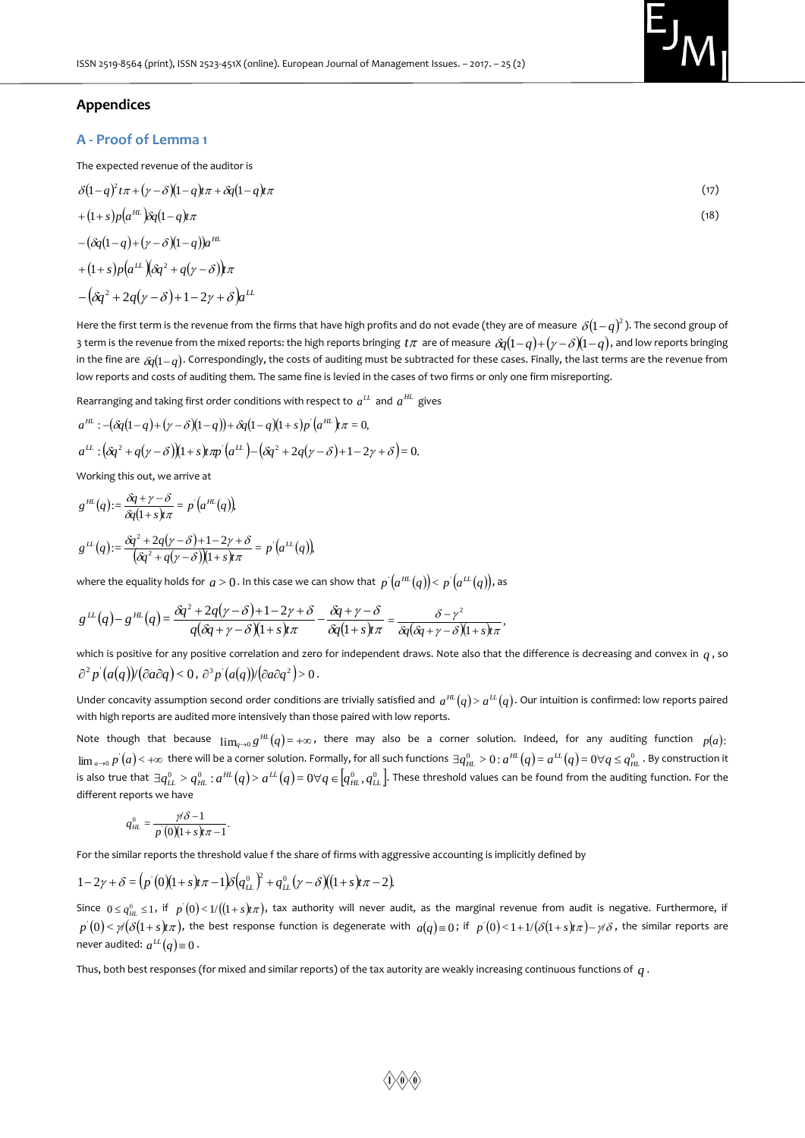

# **Appendices**

# **A - Proof of Lemma 1**

The expected revenue of the auditor is

$$
\delta(1-q)^2 t\pi + (\gamma - \delta)(1-q) t\pi + \delta q (1-q) t\pi \tag{17}
$$

$$
+(1+s)p(a^{HL})\delta q(1-q)\pi
$$
  
 
$$
-(\delta q(1-q)+(y-\delta)(1-q))a^{HL}
$$
  
 
$$
+(1+s)p(a^{LL})(\delta q^2+q(y-\delta))\pi
$$
 (18)

 $-(\delta q^2 + 2q(\gamma - \delta) + 1 - 2\gamma + \delta) a^{LL}$ 

Here the first term is the revenue from the firms that have high profits and do not evade (they are of measure  $\,\delta(1-q)^2$  ). The second group of 3 term is the revenue from the mixed reports: the high reports bringing *t* $\pi$  are of measure  $\delta\!q\!(1\!-\!q)\!+\!(\gamma\!-\!\delta)\!(\!1\!-\!q),$  and low reports bringing in the fine are  $\frac{\alpha}{\mathcal{G}(1-q)}.$  Correspondingly, the costs of auditing must be subtracted for these cases. Finally, the last terms are the revenue from low reports and costs of auditing them. The same fine is levied in the cases of two firms or only one firm misreporting.

Rearranging and taking first order conditions with respect to  $a^L$  and  $a^H$  gives

$$
a^{HL} : -(\delta q(1-q) + (\gamma - \delta)(1-q)) + \delta q(1-q)(1+s)p'(a^{HL})\pi = 0,
$$
  
\n
$$
a^{LL} : (\delta q^2 + q(\gamma - \delta))(1+s)\pi p'(a^{LL}) - (\delta q^2 + 2q(\gamma - \delta) + 1 - 2\gamma + \delta) = 0.
$$

Working this out, we arrive at

$$
g^{\mu\nu}(q) := \frac{\delta q + \gamma - \delta}{\delta q (1 + s) \pi} = p'(a^{\mu\nu}(q)),
$$
  

$$
g^{\mu\nu}(q) := \frac{\delta q^2 + 2q(\gamma - \delta) + 1 - 2\gamma + \delta}{(\delta q^2 + q(\gamma - \delta))(1 + s) \pi} = p'(a^{\mu\nu}(q)),
$$

where the equality holds for  $\,a\!>\!0.$  In this case we can show that  $\,p^{'}(a^{HL}(q))\!<\!p^{'}(a^{LL}(q))$ , as

$$
g^{\mu\nu}(q) - g^{\mu\nu}(q) = \frac{\delta q^2 + 2q(\gamma - \delta) + 1 - 2\gamma + \delta}{q(\delta q + \gamma - \delta)(1 + s)\pi} - \frac{\delta q + \gamma - \delta}{\delta q(1 + s)\pi} = \frac{\delta - \gamma^2}{\delta q(\delta q + \gamma - \delta)(1 + s)\pi}
$$

which is positive for any positive correlation and zero for independent draws. Note also that the difference is decreasing and convex in  $q$  , so  $\partial^2 p'(a(q))$ / $(\partial a \partial q) < 0$ ,  $\partial^3 p'(a(q))$ / $(\partial a \partial q^2) > 0$ .

,

Under concavity assumption second order conditions are trivially satisfied and  $a^{HL}(q)$  and  $q^L(q)$ . Our intuition is confirmed: low reports paired with high reports are audited more intensively than those paired with low reports.

Note though that because  $\lim_{q\to 0} g^{\mu\mu}(q) = +\infty$ , there may also be a corner solution. Indeed, for any auditing function  $p(a)$ :  $\lim_{a\to 0}p^{'}(a)<+\infty$  there will be a corner solution. Formally, for all such functions  $\exists q^0_{_{HL}}>0$  :  $a^{_{HL}}(q)=a^{_{LL}}(q)=0\forall q\leq q^0_{_{HL}}$  . By construction it is also true that  $\exists q^0_{1L}>q^0_{HL}$  :  $a^{HL}(q)>a^{LL}(q)=0$   $\forall q\in\!\left[ q^0_{HL},q^0_{LL}\right]$ . These threshold values can be found from the auditing function. For the different reports we have

$$
q_{\scriptscriptstyle HL}^0=\frac{\gamma\delta-1}{p^{'}(0)(1+s)t\pi-1}.
$$

For the similar reports the threshold value f the share of firms with aggressive accounting is implicitly defined by

$$
1 - 2\gamma + \delta = (p'(0)(1 + s)\pi - 1)\delta(q^0_{LL})^2 + q^0_{LL}(\gamma - \delta)((1 + s)\pi - 2).
$$

Since  $0 \le q^0_{\mu L} \le 1$ , if  $p^{'}(0) < 1/((1+s)r\pi)$ , tax authority will never audit, as the marginal revenue from audit is negative. Furthermore, if  $p^{'}(0)<\gamma/(\delta(1+s)\pi)$ , the best response function is degenerate with  $a(q)\equiv 0\,$ ; if  $p^{'}(0)<$  1+1/ $(\delta(1+s)\pi)-\gamma\delta$ , the similar reports are never audited:  $a^{\mu}(q) \equiv 0$ .

Thus, both best responses (for mixed and similar reports) of the tax autority are weakly increasing continuous functions of *q* .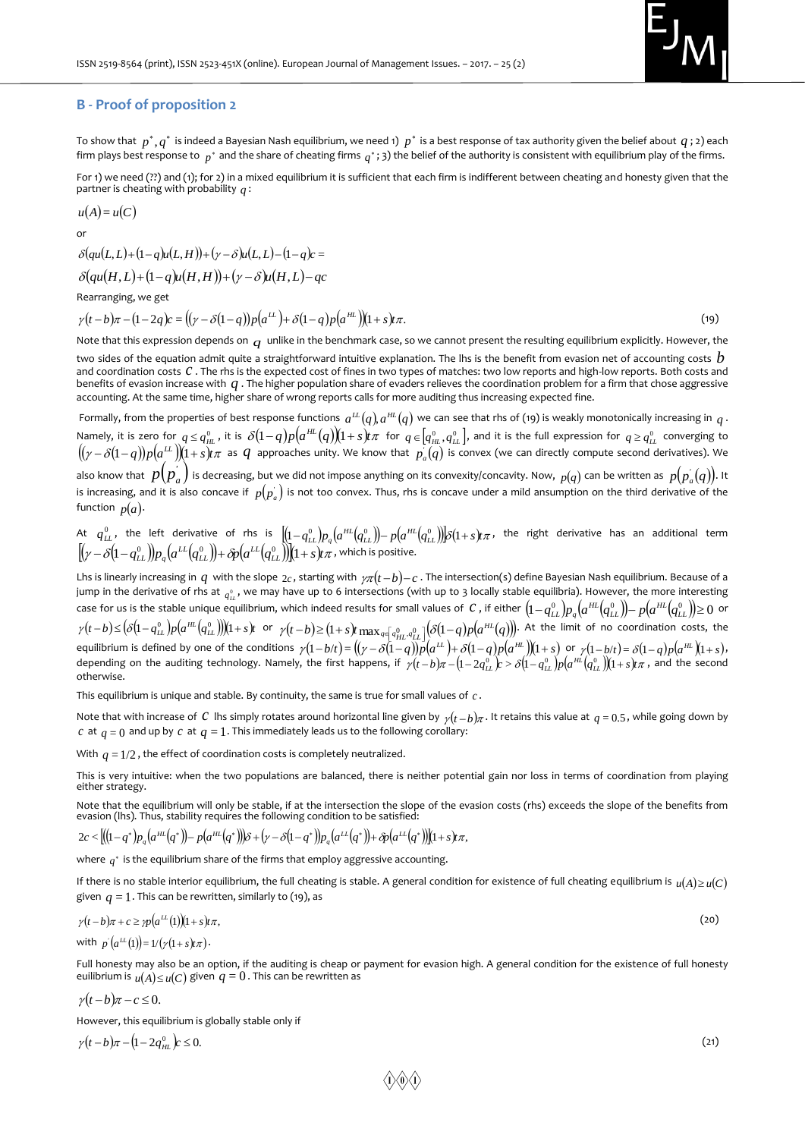

#### **B - Proof of proposition 2**

To show that  $\ p^*,q^*$  is indeed a Bayesian Nash equilibrium, we need 1)  $\ p^*$  is a best response of tax authority given the belief about  $\ q$  ; 2) each firm plays best response to  $\,{}_p{}^*$  and the share of cheating firms  $\,q{}^*$ ; 3) the belief of the authority is consistent with equilibrium play of the firms.

For 1) we need (??) and (1); for 2) in a mixed equilibrium it is sufficient that each firm is indifferent between cheating and honesty given that the partner is cheating with probability *q* :

$$
u(A)=u(C)
$$

$$
\quad \text{or} \quad
$$

$$
\delta(qu(L, L)+(1-q)u(L, H))+(y-\delta)u(L, L)-(1-q)c=
$$
  

$$
\delta(qu(H, L)+(1-q)u(H, H))+(y-\delta)u(H, L)-qc
$$

Rearranging, we get

 $\gamma(t-b)\pi - (1-2q)c = ((\gamma-\delta(1-q))p(a^{\mu}) + \delta(1-q)p(a^{\mu}))(1+s)\pi.$ (19)

Note that this expression depends on  $\,q\,$  unlike in the benchmark case, so we cannot present the resulting equilibrium explicitly. However, the

two sides of the equation admit quite a straightforward intuitive explanation. The lhs is the benefit from evasion net of accounting costs  $\,b$ and coordination costs C. The rhs is the expected cost of fines in two types of matches: two low reports and high-low reports. Both costs and benefits of evasion increase with  $q$ . The higher population share of evaders relieves the coordination problem for a firm that chose aggressive accounting. At the same time, higher share of wrong reports calls for more auditing thus increasing expected fine.

Formally, from the properties of best response functions  $\,a^{tL}(q)\,a^{\mu\mu}(q)\,$  we can see that rhs of (19) is weakly monotonically increasing in  $\,q$  . Namely, it is zero for  $q\leq q_{_{HL}}^0$  , it is  $\,\delta(1-q)p\big(a^{_{HL}}(q)\big)\! (1+s)t\pi\,$  for  $\,q\in\!\big[q_{_{HL}}^0,q_{_{LL}}^0\big],$  and it is the full expression for  $\,q\geq q_{_{LL}}^0\,$  converging to  $\bigl((\gamma-\delta(1-q))p\bigl(a^{\bot\!\bot}\bigr)\bigr)(1+s)t\pi$  as  $q$  approaches unity. We know that  $p_a(q)$  is convex (we can directly compute second derivatives). We also know that  $p(p_a^{'})$  is decreasing, but we did not impose anything on its convexity/concavity. Now,  $\,_{p(q)}$  can be written as  $\,_{p(p_a^{'}(q))}$ . It is increasing, and it is also concave if  $p(p_a^{'})$  is not too convex. Thus, rhs is concave under a mild ansumption on the third derivative of the function  $p(a)$ .

At  $q^0_{LL}$ , the left derivative of rhs is  $\left[\!\! \left(1\!-\!q^0_{LL}\right)\!\! \right]\!p_q\!\left(\!a^{\mu L}\!\left(\!q^0_{LL}\right)\!\!\right)\!-\!p\!\left(\!a^{\mu L}\!\left(\!q^0_{LL}\right)\!\!\right)\!\!]\! \delta\!\!\left(1\!+\!s\right)\!r$ , the right derivative has an additional term  $\frac{1}{2}\left[\left(\gamma-\delta\bigl(1-q_{LL}^0\bigr)\right)\!p_q\!\left(a^{LL}\!\left(q_{LL}^0\bigr)\right)\!\!\!+\delta\!p\!\left(a^{LL}\!\left(q_{LL}^0\bigr)\right)\!\!\right)\!\!\left(1+s\right)\!\!\!t\pi$  , which is positive.

Lhs is linearly increasing in  $q$  with the slope  $_{2c}$ , starting with  ${}_{\gamma\pi}(t-b)-c$  . The intersection(s) define Bayesian Nash equilibrium. Because of a jump in the derivative of rhs at  $_{q^0_L}$ , we may have up to 6 intersections (with up to 3 locally stable equilibria). However, the more interesting case for us is the stable unique equilibrium, which indeed results for small values of  $\,c$  , if either  $\,1-q^0_{LL})\!p_q\big(a^{HL}\big(q^0_{LL}\big)\!\big)\!-\!p\big(a^{HL}\big(q^0_{LL}\big)\!\big)\!\geq\!0\,$  or  $\gamma(t-b) \leq (\delta(1-q_{LL}^0)p(a^{HL}(q_{LL}^0)))(1+s)t$  or  $\gamma(t-b) \geq (1+s)t \max_{q \in [q_{HL},q_{LL}^0]} (\delta(1-q)p(a^{HL}(q)))$ . At the limit of no coordination costs, the equilibrium is defined by one of the conditions  $\gamma(1-b/t) = ((\gamma - \delta(1-q))\overline{p}(a^{LL}) + \delta(1-q)p(a^{HL}))(1+s)$  or  $\gamma(1-b/t) = \delta(1-q)p(a^{HL})(1+s)$ , depending on the auditing technology. Namely, the first happens, if  $\gamma(t-b)\pi-(1-2q^0_{LL})c>\delta(1-q^0_{LL})p(a^{\mu L}(q^0_{LL}))(1+s)t\pi$  , and the second otherwise.

This equilibrium is unique and stable. By continuity, the same is true for small values of *c* .

Note that with increase of C lhs simply rotates around horizontal line given by  $\gamma(t-b)\pi$ . It retains this value at  $q=0.5$ , while going down by  $c$  at  $q = 0$  and up by  $c$  at  $q = 1$  . This immediately leads us to the following corollary:

With  $q = 1/2$  , the effect of coordination costs is completely neutralized.

This is very intuitive: when the two populations are balanced, there is neither potential gain nor loss in terms of coordination from playing either strategy.

Note that the equilibrium will only be stable, if at the intersection the slope of the evasion costs (rhs) exceeds the slope of the benefits from Note that the equilibrium will only be stable, if at the intersection the slope of the vasion (lhs). Thus, stability requires the following condition to be satisfied:<br> $2c < [(1-q^*)p_q(a^{nt}(q^*))-p(a^{nt}(q^*))\delta+(y-\delta(1-q^*))p_q(a^{tt}(q^*))]+\delta p_q(a^{tt$ 

$$
2c < [(1-q^*)p_q(a^{HL}(q^*))-p(a^{HL}(q^*))]\delta + (\gamma-\delta(1-q^*))p_q(a^{LL}(q^*))+\delta p(a^{LL}(q^*))](1+s)\pi,
$$

where  $\,_q^*$  is the equilibrium share of the firms that employ aggressive accounting.

If there is no stable interior equilibrium, the full cheating is stable. A general condition for existence of full cheating equilibrium is  ${}_{\mathcal{u}}\!(A)\!\geq\!u(C)$ given  $q = 1$ . This can be rewritten, similarly to (19), as

$$
\gamma(t-b)\pi + c \ge \gamma p\big(a^{\mu}(t)\big)(1+s)t\pi,\tag{20}
$$

with  $p'(a^{\mu}(1)) = 1/(y(1+s)t\pi)$ .

Full honesty may also be an option, if the auditing is cheap or payment for evasion high. A general condition for the existence of full honesty euilibrium is  $u(A) \le u(C)$  given  $q = 0$ . This can be rewritten as

$$
\gamma(t-b)\pi-c\leq 0.
$$

However, this equilibrium is globally stable only if

 $\gamma(t-b)\pi - (1-2q_{HL}^0)c \leq 0.$ 

 $(21)$